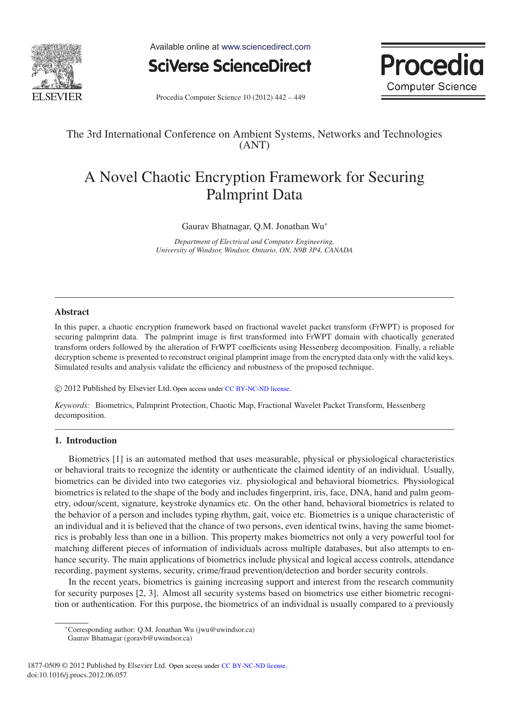

Available online at www.sciencedirect.com





Procedia Computer Science 10 (2012) 442 - 449

# The 3rd International Conference on Ambient Systems, Networks and Technologies (ANT)

# A Novel Chaotic Encryption Framework for Securing Palmprint Data

Gaurav Bhatnagar, Q.M. Jonathan Wu<sup>∗</sup>

*Department of Electrical and Computer Engineering, University of Windsor, Windsor, Ontario, ON, N9B 3P4, CANADA*

# Abstract

In this paper, a chaotic encryption framework based on fractional wavelet packet transform (FrWPT) is proposed for securing palmprint data. The palmprint image is first transformed into FrWPT domain with chaotically generated transform orders followed by the alteration of FrWPT coefficients using Hessenberg decomposition. Finally, a reliable decryption scheme is presented to reconstruct original plamprint image from the encrypted data only with the valid keys. Simulated results and analysis validate the efficiency and robustness of the proposed technique.

c 2012 Published by Elsevier Ltd. Open access under CC BY-NC-ND license.

*Keywords:* Biometrics, Palmprint Protection, Chaotic Map, Fractional Wavelet Packet Transform, Hessenberg decomposition.

# 1. Introduction

Biometrics [1] is an automated method that uses measurable, physical or physiological characteristics or behavioral traits to recognize the identity or authenticate the claimed identity of an individual. Usually, biometrics can be divided into two categories viz. physiological and behavioral biometrics. Physiological biometrics is related to the shape of the body and includes fingerprint, iris, face, DNA, hand and palm geometry, odour/scent, signature, keystroke dynamics etc. On the other hand, behavioral biometrics is related to the behavior of a person and includes typing rhythm, gait, voice etc. Biometrics is a unique characteristic of an individual and it is believed that the chance of two persons, even identical twins, having the same biometrics is probably less than one in a billion. This property makes biometrics not only a very powerful tool for matching different pieces of information of individuals across multiple databases, but also attempts to enhance security. The main applications of biometrics include physical and logical access controls, attendance recording, payment systems, security, crime/fraud prevention/detection and border security controls.

In the recent years, biometrics is gaining increasing support and interest from the research community for security purposes [2, 3]. Almost all security systems based on biometrics use either biometric recognition or authentication. For this purpose, the biometrics of an individual is usually compared to a previously

<sup>∗</sup>Corresponding author: Q.M. Jonathan Wu (jwu@uwindsor.ca) Gaurav Bhatnagar (goravb@uwindsor.ca)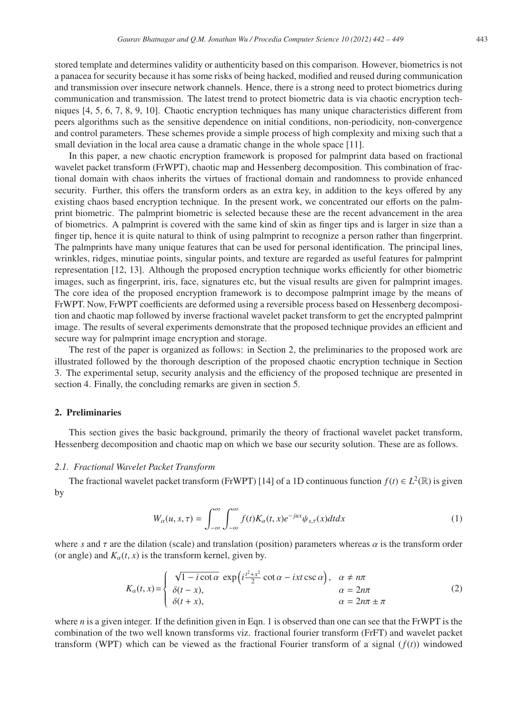stored template and determines validity or authenticity based on this comparison. However, biometrics is not a panacea for security because it has some risks of being hacked, modified and reused during communication and transmission over insecure network channels. Hence, there is a strong need to protect biometrics during communication and transmission. The latest trend to protect biometric data is via chaotic encryption techniques [4, 5, 6, 7, 8, 9, 10]. Chaotic encryption techniques has many unique characteristics different from peers algorithms such as the sensitive dependence on initial conditions, non-periodicity, non-convergence and control parameters. These schemes provide a simple process of high complexity and mixing such that a small deviation in the local area cause a dramatic change in the whole space [11].

In this paper, a new chaotic encryption framework is proposed for palmprint data based on fractional wavelet packet transform (FrWPT), chaotic map and Hessenberg decomposition. This combination of fractional domain with chaos inherits the virtues of fractional domain and randomness to provide enhanced security. Further, this offers the transform orders as an extra key, in addition to the keys offered by any existing chaos based encryption technique. In the present work, we concentrated our efforts on the palmprint biometric. The palmprint biometric is selected because these are the recent advancement in the area of biometrics. A palmprint is covered with the same kind of skin as finger tips and is larger in size than a finger tip, hence it is quite natural to think of using palmprint to recognize a person rather than fingerprint. The palmprints have many unique features that can be used for personal identification. The principal lines, wrinkles, ridges, minutiae points, singular points, and texture are regarded as useful features for palmprint representation [12, 13]. Although the proposed encryption technique works efficiently for other biometric images, such as fingerprint, iris, face, signatures etc, but the visual results are given for palmprint images. The core idea of the proposed encryption framework is to decompose palmprint image by the means of FrWPT. Now, FrWPT coefficients are deformed using a reversible process based on Hessenberg decomposition and chaotic map followed by inverse fractional wavelet packet transform to get the encrypted palmprint image. The results of several experiments demonstrate that the proposed technique provides an efficient and secure way for palmprint image encryption and storage.

The rest of the paper is organized as follows: in Section 2, the preliminaries to the proposed work are illustrated followed by the thorough description of the proposed chaotic encryption technique in Section 3. The experimental setup, security analysis and the efficiency of the proposed technique are presented in section 4. Finally, the concluding remarks are given in section 5.

#### 2. Preliminaries

This section gives the basic background, primarily the theory of fractional wavelet packet transform, Hessenberg decomposition and chaotic map on which we base our security solution. These are as follows.

#### *2.1. Fractional Wavelet Packet Transform*

The fractional wavelet packet transform (FrWPT) [14] of a 1D continuous function  $f(t) \in L^2(\mathbb{R})$  is given by

$$
W_{\alpha}(u, s, \tau) = \int_{-\infty}^{\infty} \int_{-\infty}^{\infty} f(t)K_{\alpha}(t, x)e^{-jux}\psi_{s, \tau}(x)dtdx \tag{1}
$$

where *s* and  $\tau$  are the dilation (scale) and translation (position) parameters whereas  $\alpha$  is the transform order (or angle) and  $K_\alpha(t, x)$  is the transform kernel, given by.

$$
K_{\alpha}(t,x) = \begin{cases} \sqrt{1 - i \cot \alpha} \exp\left(i\frac{t^2 + x^2}{2} \cot \alpha - ixt \csc \alpha\right), & \alpha \neq n\pi\\ \delta(t - x), & \alpha = 2n\pi\\ \delta(t + x), & \alpha = 2n\pi \pm \pi \end{cases}
$$
(2)

where *n* is a given integer. If the definition given in Eqn. 1 is observed than one can see that the FrWPT is the combination of the two well known transforms viz. fractional fourier transform (FrFT) and wavelet packet transform (WPT) which can be viewed as the fractional Fourier transform of a signal  $(f(t))$  windowed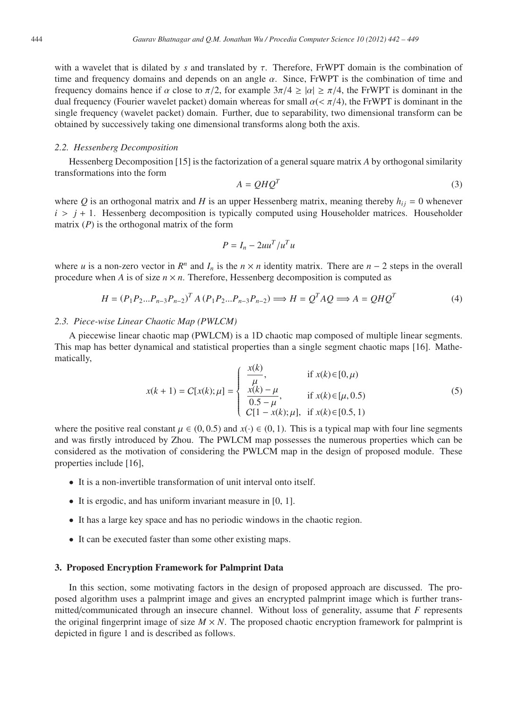with a wavelet that is dilated by *s* and translated by  $\tau$ . Therefore, FrWPT domain is the combination of time and frequency domains and depends on an angle  $\alpha$ . Since, FrWPT is the combination of time and frequency domains hence if  $\alpha$  close to  $\pi/2$ , for example  $3\pi/4 \ge |\alpha| \ge \pi/4$ , the FrWPT is dominant in the dual frequency (Fourier wavelet packet) domain whereas for small  $\alpha$ (<  $\pi$ /4), the FrWPT is dominant in the single frequency (wavelet packet) domain. Further, due to separability, two dimensional transform can be obtained by successively taking one dimensional transforms along both the axis.

#### *2.2. Hessenberg Decomposition*

Hessenberg Decomposition [15] is the factorization of a general square matrix *A* by orthogonal similarity transformations into the form

$$
A = QHQ^T \tag{3}
$$

where *Q* is an orthogonal matrix and *H* is an upper Hessenberg matrix, meaning thereby  $h_{ij} = 0$  whenever  $i > j + 1$ . Hessenberg decomposition is typically computed using Householder matrices. Householder matrix (*P*) is the orthogonal matrix of the form

$$
P = I_n - 2uu^T/u^Tu
$$

where *u* is a non-zero vector in  $R^n$  and  $I_n$  is the  $n \times n$  identity matrix. There are  $n-2$  steps in the overall procedure when *A* is of size  $n \times n$ . Therefore, Hessenberg decomposition is computed as

$$
H = (P_1 P_2 ... P_{n-3} P_{n-2})^T A (P_1 P_2 ... P_{n-3} P_{n-2}) \Longrightarrow H = Q^T A Q \Longrightarrow A = Q H Q^T
$$
(4)

#### *2.3. Piece-wise Linear Chaotic Map (PWLCM)*

A piecewise linear chaotic map (PWLCM) is a 1D chaotic map composed of multiple linear segments. This map has better dynamical and statistical properties than a single segment chaotic maps [16]. Mathematically,

$$
x(k+1) = C[x(k); \mu] = \begin{cases} \frac{x(k)}{\mu}, & \text{if } x(k) \in [0, \mu) \\ \frac{x(k) - \mu}{0.5 - \mu}, & \text{if } x(k) \in [\mu, 0.5) \\ C[1 - x(k); \mu], & \text{if } x(k) \in [0.5, 1) \end{cases}
$$
(5)

where the positive real constant  $\mu \in (0, 0.5)$  and  $x(\cdot) \in (0, 1)$ . This is a typical map with four line segments and was firstly introduced by Zhou. The PWLCM map possesses the numerous properties which can be considered as the motivation of considering the PWLCM map in the design of proposed module. These properties include [16],

- It is a non-invertible transformation of unit interval onto itself.
- It is ergodic, and has uniform invariant measure in [0, 1].
- It has a large key space and has no periodic windows in the chaotic region.
- It can be executed faster than some other existing maps.

# 3. Proposed Encryption Framework for Palmprint Data

In this section, some motivating factors in the design of proposed approach are discussed. The proposed algorithm uses a palmprint image and gives an encrypted palmprint image which is further transmitted/communicated through an insecure channel. Without loss of generality, assume that *F* represents the original fingerprint image of size  $M \times N$ . The proposed chaotic encryption framework for palmprint is depicted in figure 1 and is described as follows.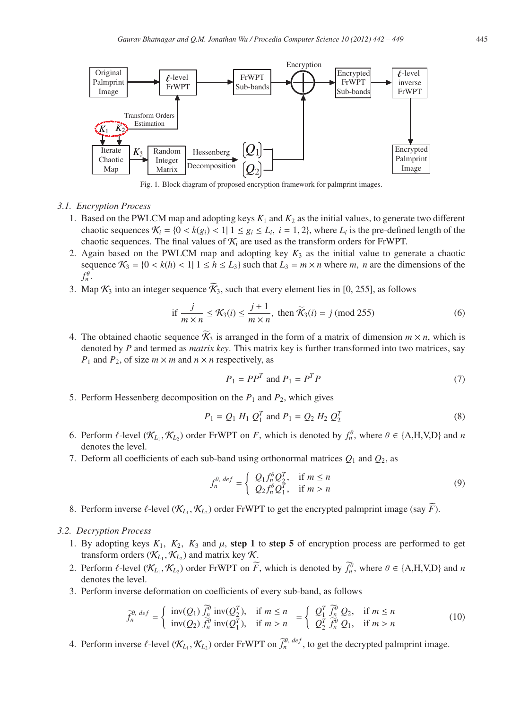

Fig. 1. Block diagram of proposed encryption framework for palmprint images.

- *3.1. Encryption Process*
	- 1. Based on the PWLCM map and adopting keys  $K_1$  and  $K_2$  as the initial values, to generate two different chaotic sequences  $\mathcal{K}_i = \{0 < k(g_i) < 1 | 1 \leq g_i \leq L_i, i = 1, 2\}$ , where  $L_i$  is the pre-defined length of the chaotic sequences. The final values of  $K_i$  are used as the transform orders for FrWPT.
	- 2. Again based on the PWLCM map and adopting key  $K_3$  as the initial value to generate a chaotic sequence  $\mathcal{K}_3 = \{0 < k(h) < 1 | 1 \leq h \leq L_3\}$  such that  $L_3 = m \times n$  where *m*, *n* are the dimensions of the  $f_n^{\theta}$ .
	- 3. Map  $K_3$  into an integer sequence  $\mathcal{K}_3$ , such that every element lies in [0, 255], as follows

if 
$$
\frac{j}{m \times n} \leq \mathcal{K}_3(i) \leq \frac{j+1}{m \times n}
$$
, then  $\widetilde{\mathcal{K}}_3(i) = j \pmod{255}$  (6)

4. The obtained chaotic sequence  $\mathcal{K}_3$  is arranged in the form of a matrix of dimension  $m \times n$ , which is denoted by *P* and termed as *matrix key*. This matrix key is further transformed into two matrices, say *P*<sub>1</sub> and *P*<sub>2</sub>, of size  $m \times m$  and  $n \times n$  respectively, as

$$
P_1 = PP^T \text{ and } P_1 = P^T P \tag{7}
$$

5. Perform Hessenberg decomposition on the  $P_1$  and  $P_2$ , which gives

$$
P_1 = Q_1 H_1 Q_1^T \text{ and } P_1 = Q_2 H_2 Q_2^T \tag{8}
$$

- 6. Perform  $\ell$ -level  $(K_{L_1}, K_{L_2})$  order FrWPT on *F*, which is denoted by  $f_n^{\theta}$ , where  $\theta \in \{A, H, V, D\}$  and *n* denotes the level.
- 7. Deform all coefficients of each sub-band using orthonormal matrices  $Q_1$  and  $Q_2$ , as

$$
f_n^{\theta, \, def} = \left\{ \begin{array}{ll} Q_1 f_n^{\theta} Q_2^T, & \text{if } m \le n \\ Q_2 f_n^{\theta} Q_1^T, & \text{if } m > n \end{array} \right. \tag{9}
$$

8. Perform inverse  $\ell$ -level  $(\mathcal{K}_{L_1}, \mathcal{K}_{L_2})$  order FrWPT to get the encrypted palmprint image (say *F*).

#### *3.2. Decryption Process*

- 1. By adopting keys  $K_1$ ,  $K_2$ ,  $K_3$  and  $\mu$ , step 1 to step 5 of encryption process are performed to get transform orders  $(\mathcal{K}_{L_1}, \mathcal{K}_{L_2})$  and matrix key  $\mathcal{K}_{\mathcal{L}}$
- 2. Perform  $\ell$ -level  $(K_{L_1}, K_{L_2})$  order FrWPT on  $\widetilde{F}$ , which is denoted by  $\widetilde{f}_n^{\theta}$ , where  $\theta \in \{A, H, V, D\}$  and *n* denotes the level.
- 3. Perform inverse deformation on coefficients of every sub-band, as follows

$$
\widetilde{f}_n^{\theta, \, def} = \left\{ \begin{array}{ll} \operatorname{inv}(Q_1) \, \widetilde{f}_n^{\theta} \, \operatorname{inv}(Q_2^T), & \text{if } m \le n \\ \operatorname{inv}(Q_2) \, \widetilde{f}_n^{\theta} \, \operatorname{inv}(Q_1^T), & \text{if } m > n \end{array} \right. = \left\{ \begin{array}{ll} Q_1^T \, \widetilde{f}_n^{\theta} \, Q_2, & \text{if } m \le n \\ Q_2^T \, \widetilde{f}_n^{\theta} \, Q_1, & \text{if } m > n \end{array} \right. \tag{10}
$$

4. Perform inverse  $\ell$ -level  $(\mathcal{K}_{L_1}, \mathcal{K}_{L_2})$  order FrWPT on  $\tilde{f}_n^{\theta, def}$ , to get the decrypted palmprint image.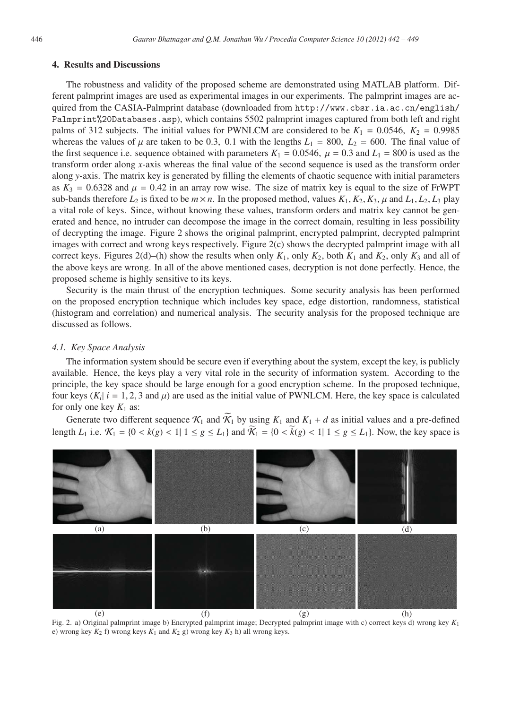## 4. Results and Discussions

The robustness and validity of the proposed scheme are demonstrated using MATLAB platform. Different palmprint images are used as experimental images in our experiments. The palmprint images are acquired from the CASIA-Palmprint database (downloaded from http://www.cbsr.ia.ac.cn/english/ Palmprint%20Databases.asp), which contains 5502 palmprint images captured from both left and right palms of 312 subjects. The initial values for PWNLCM are considered to be  $K_1 = 0.0546$ ,  $K_2 = 0.9985$ whereas the values of  $\mu$  are taken to be 0.3, 0.1 with the lengths  $L_1 = 800$ ,  $L_2 = 600$ . The final value of the first sequence i.e. sequence obtained with parameters  $K_1 = 0.0546$ ,  $\mu = 0.3$  and  $L_1 = 800$  is used as the transform order along *x*-axis whereas the final value of the second sequence is used as the transform order along *y*-axis. The matrix key is generated by filling the elements of chaotic sequence with initial parameters as  $K_3 = 0.6328$  and  $\mu = 0.42$  in an array row wise. The size of matrix key is equal to the size of FrWPT sub-bands therefore  $L_2$  is fixed to be  $m \times n$ . In the proposed method, values  $K_1, K_2, K_3, \mu$  and  $L_1, L_2, L_3$  play a vital role of keys. Since, without knowing these values, transform orders and matrix key cannot be generated and hence, no intruder can decompose the image in the correct domain, resulting in less possibility of decrypting the image. Figure 2 shows the original palmprint, encrypted palmprint, decrypted palmprint images with correct and wrong keys respectively. Figure 2(c) shows the decrypted palmprint image with all correct keys. Figures 2(d)–(h) show the results when only  $K_1$ , only  $K_2$ , both  $K_1$  and  $K_2$ , only  $K_3$  and all of the above keys are wrong. In all of the above mentioned cases, decryption is not done perfectly. Hence, the proposed scheme is highly sensitive to its keys.

Security is the main thrust of the encryption techniques. Some security analysis has been performed on the proposed encryption technique which includes key space, edge distortion, randomness, statistical (histogram and correlation) and numerical analysis. The security analysis for the proposed technique are discussed as follows.

## *4.1. Key Space Analysis*

The information system should be secure even if everything about the system, except the key, is publicly available. Hence, the keys play a very vital role in the security of information system. According to the principle, the key space should be large enough for a good encryption scheme. In the proposed technique, four keys ( $K_i$  |  $i = 1, 2, 3$  and  $\mu$ ) are used as the initial value of PWNLCM. Here, the key space is calculated for only one key  $K_1$  as:

Generate two different sequence  $\mathcal{K}_1$  and  $\widetilde{\mathcal{K}}_1$  by using  $K_1$  and  $K_1 + d$  as initial values and a pre-defined length  $L_1$  i.e.  $\mathcal{K}_1 = \{0 < k(g) < 1 | 1 \leq g \leq L_1\}$  and  $\overline{\mathcal{K}}_1 = \{0 < k(g) < 1 | 1 \leq g \leq L_1\}$ . Now, the key space is



Fig. 2. a) Original palmprint image b) Encrypted palmprint image; Decrypted palmprint image with c) correct keys d) wrong key *K*<sup>1</sup> e) wrong key *K*<sup>2</sup> f) wrong keys *K*<sup>1</sup> and *K*<sup>2</sup> g) wrong key *K*<sup>3</sup> h) all wrong keys.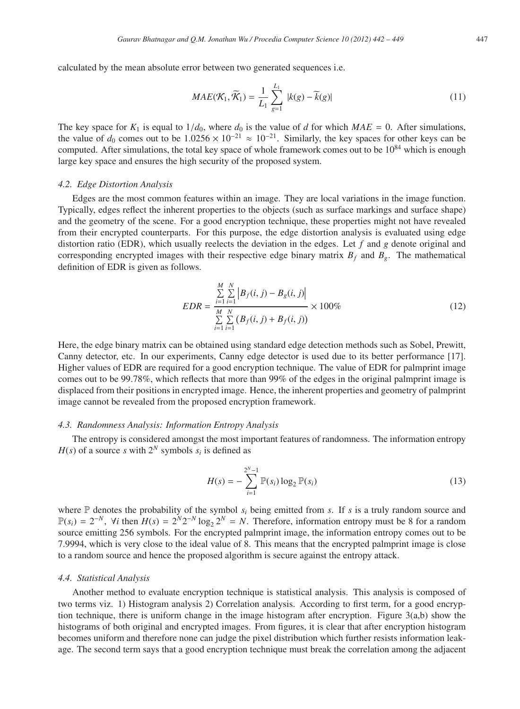calculated by the mean absolute error between two generated sequences i.e.

$$
MAE(\mathcal{K}_1, \widetilde{\mathcal{K}}_1) = \frac{1}{L_1} \sum_{g=1}^{L_1} |k(g) - \widetilde{k}(g)| \tag{11}
$$

The key space for  $K_1$  is equal to  $1/d_0$ , where  $d_0$  is the value of *d* for which  $MAE = 0$ . After simulations, the value of *d*<sub>0</sub> comes out to be  $1.0256 \times 10^{-21} \approx 10^{-21}$ . Similarly, the key spaces for other keys can be computed. After simulations, the total key space of whole framework comes out to be  $10^{84}$  which is enough large key space and ensures the high security of the proposed system.

### *4.2. Edge Distortion Analysis*

Edges are the most common features within an image. They are local variations in the image function. Typically, edges reflect the inherent properties to the objects (such as surface markings and surface shape) and the geometry of the scene. For a good encryption technique, these properties might not have revealed from their encrypted counterparts. For this purpose, the edge distortion analysis is evaluated using edge distortion ratio (EDR), which usually reelects the deviation in the edges. Let *f* and *g* denote original and corresponding encrypted images with their respective edge binary matrix  $B_f$  and  $B_g$ . The mathematical definition of EDR is given as follows.

$$
EDR = \frac{\sum_{i=1}^{M} \sum_{i=1}^{N} |B_f(i, j) - B_g(i, j)|}{\sum_{i=1}^{M} \sum_{i=1}^{N} (B_f(i, j) + B_f(i, j))} \times 100\%
$$
(12)

Here, the edge binary matrix can be obtained using standard edge detection methods such as Sobel, Prewitt, Canny detector, etc. In our experiments, Canny edge detector is used due to its better performance [17]. Higher values of EDR are required for a good encryption technique. The value of EDR for palmprint image comes out to be 99.78%, which reflects that more than 99% of the edges in the original palmprint image is displaced from their positions in encrypted image. Hence, the inherent properties and geometry of palmprint image cannot be revealed from the proposed encryption framework.

#### *4.3. Randomness Analysis: Information Entropy Analysis*

The entropy is considered amongst the most important features of randomness. The information entropy *H*(*s*) of a source *s* with  $2^N$  symbols  $s_i$  is defined as

$$
H(s) = -\sum_{i=1}^{2^N - 1} \mathbb{P}(s_i) \log_2 \mathbb{P}(s_i)
$$
 (13)

where  $\mathbb P$  denotes the probability of the symbol  $s_i$  being emitted from *s*. If *s* is a truly random source and  $\mathbb{P}(s_i) = 2^{-N}$ ,  $\forall i$  then  $H(s) = 2^N 2^{-N} \log_2 2^N = N$ . Therefore, information entropy must be 8 for a random source emitting 256 symbols. For the encrypted palmprint image, the information entropy comes out to be 7.9994, which is very close to the ideal value of 8. This means that the encrypted palmprint image is close to a random source and hence the proposed algorithm is secure against the entropy attack.

#### *4.4. Statistical Analysis*

Another method to evaluate encryption technique is statistical analysis. This analysis is composed of two terms viz. 1) Histogram analysis 2) Correlation analysis. According to first term, for a good encryption technique, there is uniform change in the image histogram after encryption. Figure  $3(a,b)$  show the histograms of both original and encrypted images. From figures, it is clear that after encryption histogram becomes uniform and therefore none can judge the pixel distribution which further resists information leakage. The second term says that a good encryption technique must break the correlation among the adjacent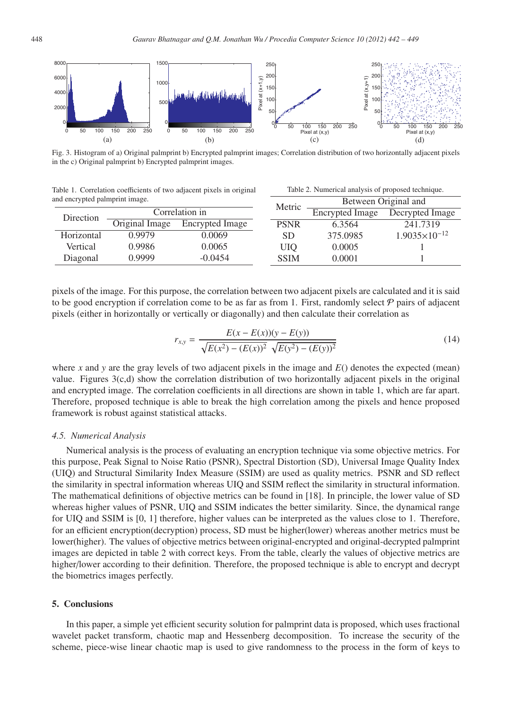

Fig. 3. Histogram of a) Original palmprint b) Encrypted palmprint images; Correlation distribution of two horizontally adjacent pixels in the c) Original palmprint b) Encrypted palmprint images.

Table 1. Correlation coefficients of two adjacent pixels in original and encrypted palmprint image.

Table 2. Numerical analysis of proposed technique.

| and encrypted palmprint image. |                |                        | Metric      | Between Original and   |                          |
|--------------------------------|----------------|------------------------|-------------|------------------------|--------------------------|
| Direction                      | Correlation in |                        |             | <b>Encrypted Image</b> | Decrypted Image          |
|                                | Original Image | <b>Encrypted Image</b> | <b>PSNR</b> | 6.3564                 | 241.7319                 |
| Horizontal                     | 0.9979         | 0.0069                 | SD          | 375.0985               | $1.9035 \times 10^{-12}$ |
| Vertical                       | 0.9986         | 0.0065                 | <b>UIO</b>  | 0.0005                 |                          |
| Diagonal                       | 0.9999         | $-0.0454$              | <b>SSIM</b> | 0.0001                 |                          |

pixels of the image. For this purpose, the correlation between two adjacent pixels are calculated and it is said to be good encryption if correlation come to be as far as from 1. First, randomly select  $\mathcal P$  pairs of adjacent pixels (either in horizontally or vertically or diagonally) and then calculate their correlation as

$$
r_{x,y} = \frac{E(x - E(x))(y - E(y))}{\sqrt{E(x^2) - (E(x))^2} \sqrt{E(y^2) - (E(y))^2}}
$$
(14)

where *x* and *y* are the gray levels of two adjacent pixels in the image and *E*() denotes the expected (mean) value. Figures 3(c,d) show the correlation distribution of two horizontally adjacent pixels in the original and encrypted image. The correlation coefficients in all directions are shown in table 1, which are far apart. Therefore, proposed technique is able to break the high correlation among the pixels and hence proposed framework is robust against statistical attacks.

#### *4.5. Numerical Analysis*

Numerical analysis is the process of evaluating an encryption technique via some objective metrics. For this purpose, Peak Signal to Noise Ratio (PSNR), Spectral Distortion (SD), Universal Image Quality Index (UIQ) and Structural Similarity Index Measure (SSIM) are used as quality metrics. PSNR and SD reflect the similarity in spectral information whereas UIQ and SSIM reflect the similarity in structural information. The mathematical definitions of objective metrics can be found in [18]. In principle, the lower value of SD whereas higher values of PSNR, UIQ and SSIM indicates the better similarity. Since, the dynamical range for UIQ and SSIM is [0, 1] therefore, higher values can be interpreted as the values close to 1. Therefore, for an efficient encryption(decryption) process, SD must be higher(lower) whereas another metrics must be lower(higher). The values of objective metrics between original-encrypted and original-decrypted palmprint images are depicted in table 2 with correct keys. From the table, clearly the values of objective metrics are higher/lower according to their definition. Therefore, the proposed technique is able to encrypt and decrypt the biometrics images perfectly.

### 5. Conclusions

In this paper, a simple yet efficient security solution for palmprint data is proposed, which uses fractional wavelet packet transform, chaotic map and Hessenberg decomposition. To increase the security of the scheme, piece-wise linear chaotic map is used to give randomness to the process in the form of keys to